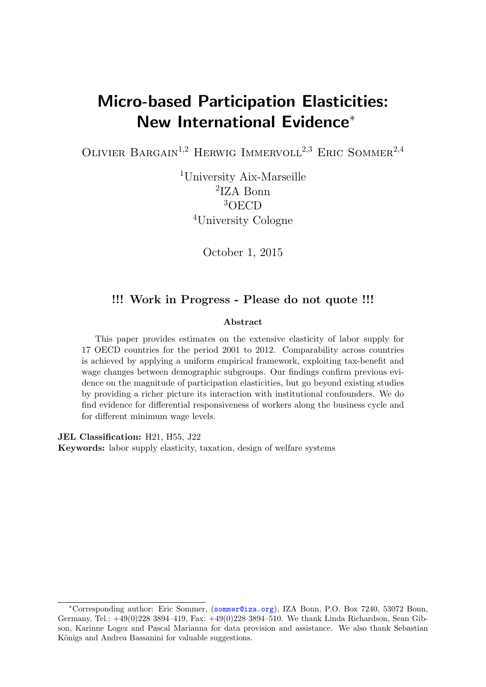# Micro-based Participation Elasticities: New International Evidence<sup>∗</sup>

OLIVIER BARGAIN<sup>1,2</sup> HERWIG IMMERVOLL<sup>2,3</sup> ERIC SOMMER<sup>2,4</sup>

<sup>1</sup>University Aix-Marseille 2 IZA Bonn <sup>3</sup>OECD <sup>4</sup>University Cologne

October 1, 2015

#### !!! Work in Progress - Please do not quote !!!

#### Abstract

This paper provides estimates on the extensive elasticity of labor supply for 17 OECD countries for the period 2001 to 2012. Comparability across countries is achieved by applying a uniform empirical framework, exploiting tax-benefit and wage changes between demographic subgroups. Our findings confirm previous evidence on the magnitude of participation elasticities, but go beyond existing studies by providing a richer picture its interaction with institutional confounders. We do find evidence for differential responsiveness of workers along the business cycle and for different minimum wage levels.

JEL Classification: H21, H55, J22

Keywords: labor supply elasticity, taxation, design of welfare systems

<sup>∗</sup>Corresponding author: Eric Sommer, (<sommer@iza.org>), IZA Bonn, P.O. Box 7240, 53072 Bonn, Germany, Tel.: +49(0)228 3894–419, Fax: +49(0)228 3894–510. We thank Linda Richardson, Sean Gibson, Karinne Logez and Pascal Marianna for data provision and assistance. We also thank Sebastian Königs and Andrea Bassanini for valuable suggestions.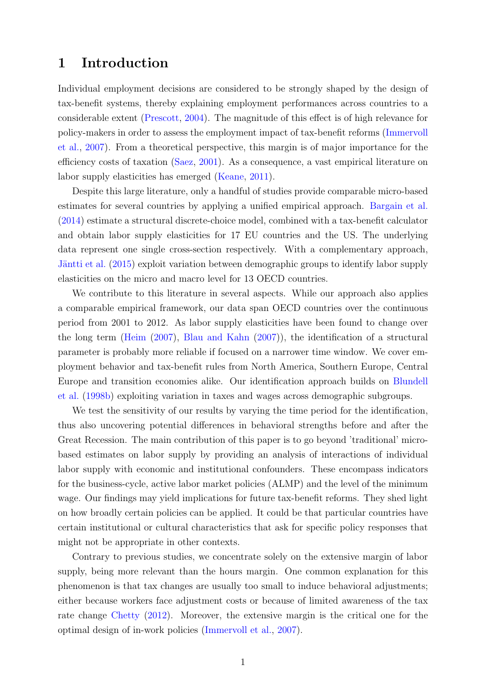#### 1 Introduction

Individual employment decisions are considered to be strongly shaped by the design of tax-benefit systems, thereby explaining employment performances across countries to a considerable extent [\(Prescott,](#page-13-0) [2004\)](#page-13-0). The magnitude of this effect is of high relevance for policy-makers in order to assess the employment impact of tax-benefit reforms [\(Immervoll](#page-12-0) [et al.,](#page-12-0) [2007\)](#page-12-0). From a theoretical perspective, this margin is of major importance for the efficiency costs of taxation [\(Saez,](#page-13-1) [2001\)](#page-13-1). As a consequence, a vast empirical literature on labor supply elasticities has emerged [\(Keane,](#page-12-1) [2011\)](#page-12-1).

Despite this large literature, only a handful of studies provide comparable micro-based estimates for several countries by applying a unified empirical approach. [Bargain et al.](#page-12-2) [\(2014\)](#page-12-2) estimate a structural discrete-choice model, combined with a tax-benefit calculator and obtain labor supply elasticities for 17 EU countries and the US. The underlying data represent one single cross-section respectively. With a complementary approach, Jäntti et al. [\(2015\)](#page-12-3) exploit variation between demographic groups to identify labor supply elasticities on the micro and macro level for 13 OECD countries.

We contribute to this literature in several aspects. While our approach also applies a comparable empirical framework, our data span OECD countries over the continuous period from 2001 to 2012. As labor supply elasticities have been found to change over the long term [\(Heim](#page-12-4) [\(2007\)](#page-12-4), [Blau and Kahn](#page-12-5) [\(2007\)](#page-12-5)), the identification of a structural parameter is probably more reliable if focused on a narrower time window. We cover employment behavior and tax-benefit rules from North America, Southern Europe, Central Europe and transition economies alike. Our identification approach builds on [Blundell](#page-12-6) [et al.](#page-12-6) [\(1998b\)](#page-12-6) exploiting variation in taxes and wages across demographic subgroups.

We test the sensitivity of our results by varying the time period for the identification, thus also uncovering potential differences in behavioral strengths before and after the Great Recession. The main contribution of this paper is to go beyond 'traditional' microbased estimates on labor supply by providing an analysis of interactions of individual labor supply with economic and institutional confounders. These encompass indicators for the business-cycle, active labor market policies (ALMP) and the level of the minimum wage. Our findings may yield implications for future tax-benefit reforms. They shed light on how broadly certain policies can be applied. It could be that particular countries have certain institutional or cultural characteristics that ask for specific policy responses that might not be appropriate in other contexts.

Contrary to previous studies, we concentrate solely on the extensive margin of labor supply, being more relevant than the hours margin. One common explanation for this phenomenon is that tax changes are usually too small to induce behavioral adjustments; either because workers face adjustment costs or because of limited awareness of the tax rate change [Chetty](#page-12-7) [\(2012\)](#page-12-7). Moreover, the extensive margin is the critical one for the optimal design of in-work policies [\(Immervoll et al.,](#page-12-0) [2007\)](#page-12-0).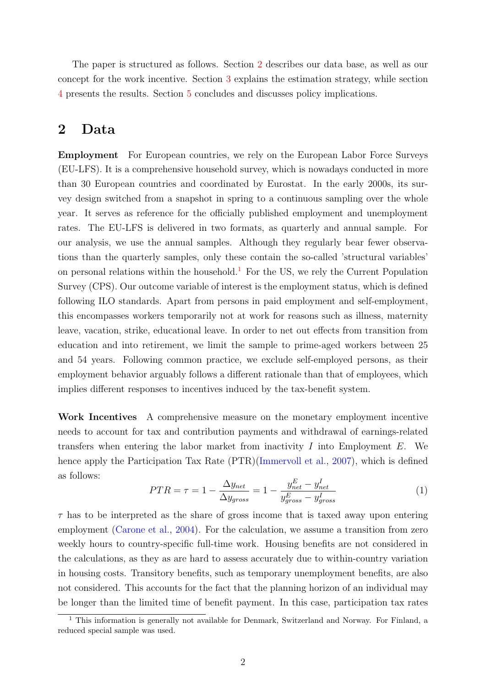The paper is structured as follows. Section [2](#page-2-0) describes our data base, as well as our concept for the work incentive. Section [3](#page-3-0) explains the estimation strategy, while section [4](#page-5-0) presents the results. Section [5](#page-10-0) concludes and discusses policy implications.

#### <span id="page-2-0"></span>2 Data

Employment For European countries, we rely on the European Labor Force Surveys (EU-LFS). It is a comprehensive household survey, which is nowadays conducted in more than 30 European countries and coordinated by Eurostat. In the early 2000s, its survey design switched from a snapshot in spring to a continuous sampling over the whole year. It serves as reference for the officially published employment and unemployment rates. The EU-LFS is delivered in two formats, as quarterly and annual sample. For our analysis, we use the annual samples. Although they regularly bear fewer observations than the quarterly samples, only these contain the so-called 'structural variables' on personal relations within the household.<sup>[1](#page-2-1)</sup> For the US, we rely the Current Population Survey (CPS). Our outcome variable of interest is the employment status, which is defined following ILO standards. Apart from persons in paid employment and self-employment, this encompasses workers temporarily not at work for reasons such as illness, maternity leave, vacation, strike, educational leave. In order to net out effects from transition from education and into retirement, we limit the sample to prime-aged workers between 25 and 54 years. Following common practice, we exclude self-employed persons, as their employment behavior arguably follows a different rationale than that of employees, which implies different responses to incentives induced by the tax-benefit system.

Work Incentives A comprehensive measure on the monetary employment incentive needs to account for tax and contribution payments and withdrawal of earnings-related transfers when entering the labor market from inactivity  $I$  into Employment  $E$ . We hence apply the Participation Tax Rate (PTR)[\(Immervoll et al.,](#page-12-0) [2007\)](#page-12-0), which is defined as follows:

$$
PTR = \tau = 1 - \frac{\Delta y_{net}}{\Delta y_{gross}} = 1 - \frac{y_{net}^E - y_{net}^I}{y_{gross}^E - y_{gross}^I}
$$
\n
$$
\tag{1}
$$

 $\tau$  has to be interpreted as the share of gross income that is taxed away upon entering employment [\(Carone et al.,](#page-12-8) [2004\)](#page-12-8). For the calculation, we assume a transition from zero weekly hours to country-specific full-time work. Housing benefits are not considered in the calculations, as they as are hard to assess accurately due to within-country variation in housing costs. Transitory benefits, such as temporary unemployment benefits, are also not considered. This accounts for the fact that the planning horizon of an individual may be longer than the limited time of benefit payment. In this case, participation tax rates

<span id="page-2-1"></span><sup>&</sup>lt;sup>1</sup> This information is generally not available for Denmark, Switzerland and Norway. For Finland, a reduced special sample was used.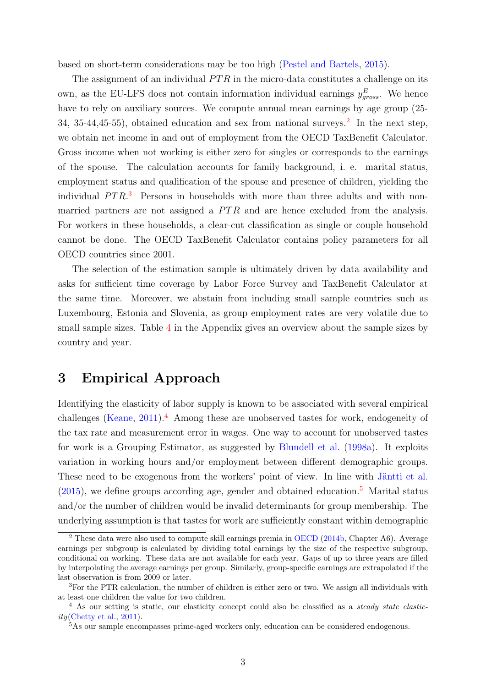based on short-term considerations may be too high [\(Pestel and Bartels,](#page-13-2) [2015\)](#page-13-2).

The assignment of an individual  $PTR$  in the micro-data constitutes a challenge on its own, as the EU-LFS does not contain information individual earnings  $y_{gross}^E$ . We hence have to rely on auxiliary sources. We compute annual mean earnings by age group  $(25-$ 34, 35-44, 45-55), obtained education and sex from national surveys.<sup>[2](#page-3-1)</sup> In the next step, we obtain net income in and out of employment from the OECD TaxBenefit Calculator. Gross income when not working is either zero for singles or corresponds to the earnings of the spouse. The calculation accounts for family background, i. e. marital status, employment status and qualification of the spouse and presence of children, yielding the individual  $PTR<sup>3</sup>$  $PTR<sup>3</sup>$  $PTR<sup>3</sup>$  Persons in households with more than three adults and with nonmarried partners are not assigned a  $PTR$  and are hence excluded from the analysis. For workers in these households, a clear-cut classification as single or couple household cannot be done. The OECD TaxBenefit Calculator contains policy parameters for all OECD countries since 2001.

The selection of the estimation sample is ultimately driven by data availability and asks for sufficient time coverage by Labor Force Survey and TaxBenefit Calculator at the same time. Moreover, we abstain from including small sample countries such as Luxembourg, Estonia and Slovenia, as group employment rates are very volatile due to small sample sizes. Table [4](#page-14-0) in the Appendix gives an overview about the sample sizes by country and year.

## <span id="page-3-0"></span>3 Empirical Approach

Identifying the elasticity of labor supply is known to be associated with several empirical challenges [\(Keane,](#page-12-1) [2011\)](#page-12-1).<sup>[4](#page-3-3)</sup> Among these are unobserved tastes for work, endogeneity of the tax rate and measurement error in wages. One way to account for unobserved tastes for work is a Grouping Estimator, as suggested by [Blundell et al.](#page-12-9) [\(1998a\)](#page-12-9). It exploits variation in working hours and/or employment between different demographic groups. These need to be exogenous from the workers' point of view. In line with Jäntti et al.  $(2015)$ , we define groups according age, gender and obtained education.<sup>[5](#page-3-4)</sup> Marital status and/or the number of children would be invalid determinants for group membership. The underlying assumption is that tastes for work are sufficiently constant within demographic

<span id="page-3-1"></span> $2$  These data were also used to compute skill earnings premia in [OECD](#page-13-3) [\(2014b,](#page-13-3) Chapter A6). Average earnings per subgroup is calculated by dividing total earnings by the size of the respective subgroup, conditional on working. These data are not available for each year. Gaps of up to three years are filled by interpolating the average earnings per group. Similarly, group-specific earnings are extrapolated if the last observation is from 2009 or later.

<span id="page-3-2"></span><sup>3</sup>For the PTR calculation, the number of children is either zero or two. We assign all individuals with at least one children the value for two children.

<span id="page-3-3"></span><sup>&</sup>lt;sup>4</sup> As our setting is static, our elasticity concept could also be classified as a *steady state elastic*- $ity(Chetty et al., 2011).$  $ity(Chetty et al., 2011).$  $ity(Chetty et al., 2011).$  $ity(Chetty et al., 2011).$  $ity(Chetty et al., 2011).$ 

<span id="page-3-4"></span><sup>&</sup>lt;sup>5</sup>As our sample encompasses prime-aged workers only, education can be considered endogenous.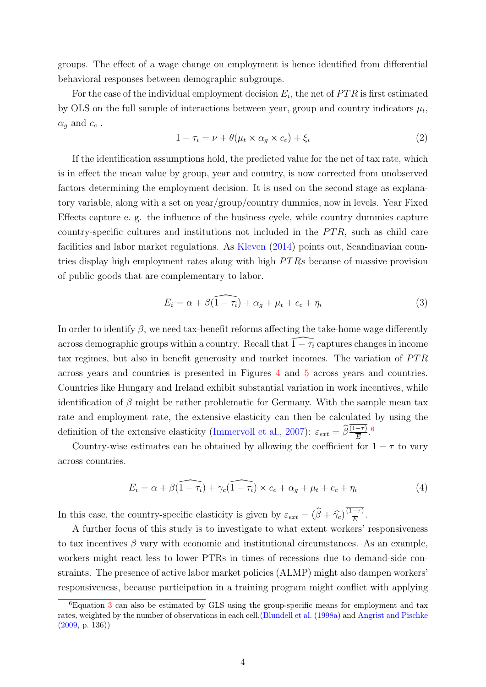groups. The effect of a wage change on employment is hence identified from differential behavioral responses between demographic subgroups.

For the case of the individual employment decision  $E_i$ , the net of  $PTR$  is first estimated by OLS on the full sample of interactions between year, group and country indicators  $\mu_t$ ,  $\alpha_q$  and  $c_c$ .

$$
1 - \tau_i = \nu + \theta(\mu_t \times \alpha_g \times c_c) + \xi_i \tag{2}
$$

If the identification assumptions hold, the predicted value for the net of tax rate, which is in effect the mean value by group, year and country, is now corrected from unobserved factors determining the employment decision. It is used on the second stage as explanatory variable, along with a set on year/group/country dummies, now in levels. Year Fixed Effects capture e. g. the influence of the business cycle, while country dummies capture country-specific cultures and institutions not included in the  $PTR$ , such as child care facilities and labor market regulations. As [Kleven](#page-13-4) [\(2014\)](#page-13-4) points out, Scandinavian countries display high employment rates along with high  $PTRs$  because of massive provision of public goods that are complementary to labor.

<span id="page-4-1"></span>
$$
E_i = \alpha + \beta \widehat{(1 - \tau_i)} + \alpha_g + \mu_t + c_c + \eta_i \tag{3}
$$

In order to identify  $\beta$ , we need tax-benefit reforms affecting the take-home wage differently across demographic groups within a country. Recall that  $\widehat{1-\tau_i}$  captures changes in income tax regimes, but also in benefit generosity and market incomes. The variation of  $PTR$ across years and countries is presented in Figures [4](#page-16-0) and [5](#page-17-0) across years and countries. Countries like Hungary and Ireland exhibit substantial variation in work incentives, while identification of  $\beta$  might be rather problematic for Germany. With the sample mean tax rate and employment rate, the extensive elasticity can then be calculated by using the definition of the extensive elasticity [\(Immervoll et al.,](#page-12-0) [2007\)](#page-12-0):  $\varepsilon_{ext} = \hat{\beta} \frac{(1-\tau)}{\overline{E}}$ .<sup>[6](#page-4-0)</sup>

Country-wise estimates can be obtained by allowing the coefficient for  $1 - \tau$  to vary across countries.

<span id="page-4-2"></span>
$$
E_i = \alpha + \beta \widehat{(1 - \tau_i)} + \gamma_c \widehat{(1 - \tau_i)} \times c_c + \alpha_g + \mu_t + c_c + \eta_i
$$
\n<sup>(4)</sup>

In this case, the country-specific elasticity is given by  $\varepsilon_{ext} = (\hat{\beta} + \hat{\gamma_c}) \frac{(1-\tau)}{\overline{E}}$  $\frac{-\tau)}{\overline{E}}.$ 

A further focus of this study is to investigate to what extent workers' responsiveness to tax incentives  $\beta$  vary with economic and institutional circumstances. As an example, workers might react less to lower PTRs in times of recessions due to demand-side constraints. The presence of active labor market policies (ALMP) might also dampen workers' responsiveness, because participation in a training program might conflict with applying

<span id="page-4-0"></span> ${}^{6}$ Equation [3](#page-4-1) can also be estimated by GLS using the group-specific means for employment and tax rates, weighted by the number of observations in each cell.[\(Blundell et al.](#page-12-9) [\(1998a\)](#page-12-9) and [Angrist and Pischke](#page-12-11)  $(2009, p. 136)$  $(2009, p. 136)$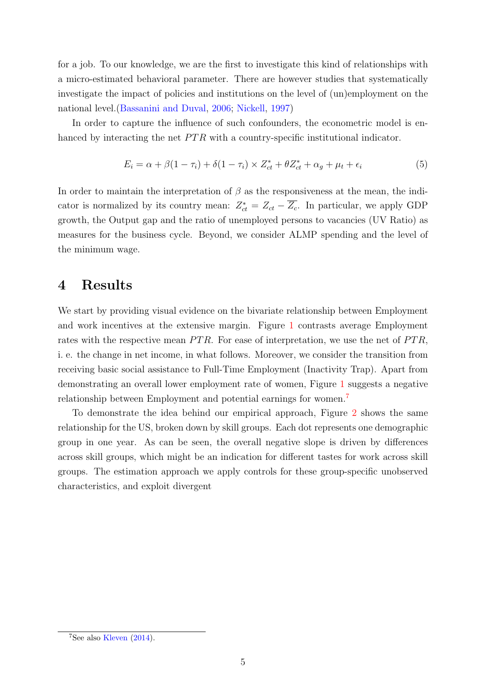for a job. To our knowledge, we are the first to investigate this kind of relationships with a micro-estimated behavioral parameter. There are however studies that systematically investigate the impact of policies and institutions on the level of (un)employment on the national level.[\(Bassanini and Duval,](#page-12-12) [2006;](#page-12-12) [Nickell,](#page-13-5) [1997\)](#page-13-5)

In order to capture the influence of such confounders, the econometric model is enhanced by interacting the net  $PTR$  with a country-specific institutional indicator.

<span id="page-5-2"></span>
$$
E_i = \alpha + \beta(1 - \tau_i) + \delta(1 - \tau_i) \times Z_{ct}^* + \theta Z_{ct}^* + \alpha_g + \mu_t + \epsilon_i
$$
\n
$$
\tag{5}
$$

In order to maintain the interpretation of  $\beta$  as the responsiveness at the mean, the indicator is normalized by its country mean:  $Z_{ct}^* = Z_{ct} - \overline{Z_c}$ . In particular, we apply GDP growth, the Output gap and the ratio of unemployed persons to vacancies (UV Ratio) as measures for the business cycle. Beyond, we consider ALMP spending and the level of the minimum wage.

# <span id="page-5-0"></span>4 Results

We start by providing visual evidence on the bivariate relationship between Employment and work incentives at the extensive margin. Figure [1](#page-6-0) contrasts average Employment rates with the respective mean  $PTR$ . For ease of interpretation, we use the net of  $PTR$ , i. e. the change in net income, in what follows. Moreover, we consider the transition from receiving basic social assistance to Full-Time Employment (Inactivity Trap). Apart from demonstrating an overall lower employment rate of women, Figure [1](#page-6-0) suggests a negative relationship between Employment and potential earnings for women.[7](#page-5-1)

To demonstrate the idea behind our empirical approach, Figure [2](#page-6-1) shows the same relationship for the US, broken down by skill groups. Each dot represents one demographic group in one year. As can be seen, the overall negative slope is driven by differences across skill groups, which might be an indication for different tastes for work across skill groups. The estimation approach we apply controls for these group-specific unobserved characteristics, and exploit divergent

<span id="page-5-1"></span><sup>&</sup>lt;sup>7</sup>See also [Kleven](#page-13-4) [\(2014\)](#page-13-4).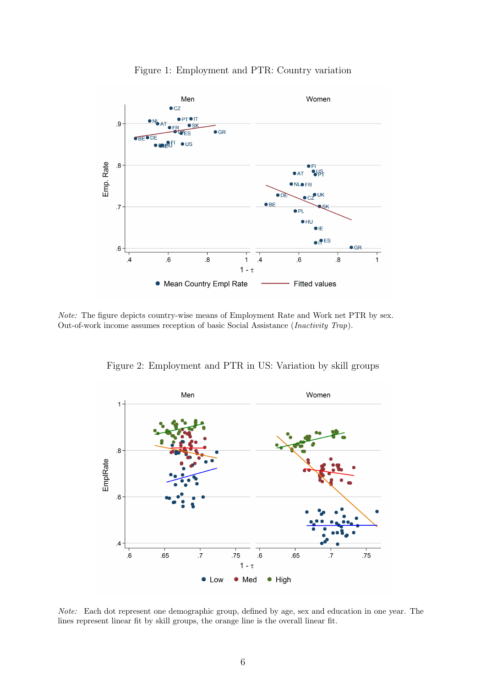

<span id="page-6-0"></span>

Note: The figure depicts country-wise means of Employment Rate and Work net PTR by sex. Out-of-work income assumes reception of basic Social Assistance (Inactivity Trap).

Figure 2: Employment and PTR in US: Variation by skill groups

<span id="page-6-1"></span>

Note: Each dot represent one demographic group, defined by age, sex and education in one year. The lines represent linear fit by skill groups, the orange line is the overall linear fit.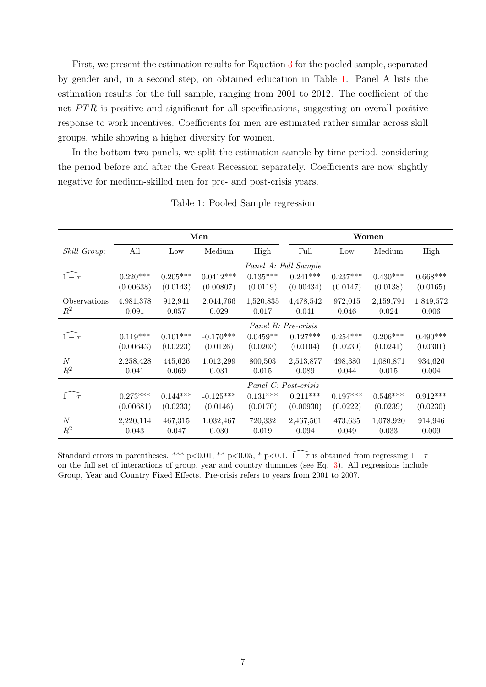First, we present the estimation results for Equation [3](#page-4-1) for the pooled sample, separated by gender and, in a second step, on obtained education in Table [1.](#page-7-0) Panel A lists the estimation results for the full sample, ranging from 2001 to 2012. The coefficient of the net  $PTR$  is positive and significant for all specifications, suggesting an overall positive response to work incentives. Coefficients for men are estimated rather similar across skill groups, while showing a higher diversity for women.

In the bottom two panels, we split the estimation sample by time period, considering the period before and after the Great Recession separately. Coefficients are now slightly negative for medium-skilled men for pre- and post-crisis years.

<span id="page-7-0"></span>

|                    |            |            | Men                 |                 |                      |            | Women      |            |  |  |  |
|--------------------|------------|------------|---------------------|-----------------|----------------------|------------|------------|------------|--|--|--|
| Skill Group:       | All        | Low        | Medium              | High            | Full                 | Low        | Medium     | High       |  |  |  |
|                    |            |            |                     |                 | Panel A: Full Sample |            |            |            |  |  |  |
| $\widehat{1-\tau}$ | $0.220***$ | $0.205***$ | $0.0412***$         | $0.135***$      | $0.241***$           | $0.237***$ | $0.430***$ | $0.668***$ |  |  |  |
|                    | (0.00638)  | (0.0143)   | (0.00807)           | (0.0119)        | (0.00434)            | (0.0147)   | (0.0138)   | (0.0165)   |  |  |  |
| Observations       | 4,981,378  | 912,941    | 2,044,766           | 1,520,835       | 4,478,542            | 972,015    | 2,159,791  | 1,849,572  |  |  |  |
| $R^2$              | 0.091      | 0.057      | 0.029               | 0.017           | 0.041                | 0.046      | 0.024      | 0.006      |  |  |  |
|                    |            |            | Panel B: Pre-crisis |                 |                      |            |            |            |  |  |  |
| $\widehat{1-\tau}$ | $0.119***$ | $0.101***$ | $-0.170***$         | $0.0459**$      | $0.127***$           | $0.254***$ | $0.206***$ | $0.490***$ |  |  |  |
|                    | (0.00643)  | (0.0223)   | (0.0126)            | (0.0203)        | (0.0104)             | (0.0239)   | (0.0241)   | (0.0301)   |  |  |  |
| $\boldsymbol{N}$   | 2,258,428  | 445,626    | 1,012,299           | 800,503         | 2,513,877            | 498,380    | 1,080,871  | 934,626    |  |  |  |
| $R^2$              | 0.041      | 0.069      | 0.031               | 0.015           | 0.089                | 0.044      | 0.015      | 0.004      |  |  |  |
|                    |            |            |                     |                 | Panel C: Post-crisis |            |            |            |  |  |  |
| $\widehat{1-\tau}$ | $0.273***$ | $0.144***$ | $-0.125***$         | $0.131^{***}\,$ | $0.211***$           | $0.197***$ | $0.546***$ | $0.912***$ |  |  |  |
|                    | (0.00681)  | (0.0233)   | (0.0146)            | (0.0170)        | (0.00930)            | (0.0222)   | (0.0239)   | (0.0230)   |  |  |  |
| N                  | 2,220,114  | 467,315    | 1,032,467           | 720,332         | 2,467,501            | 473,635    | 1,078,920  | 914,946    |  |  |  |
| $R^2$              | 0.043      | 0.047      | 0.030               | 0.019           | 0.094                | 0.049      | 0.033      | 0.009      |  |  |  |

Table 1: Pooled Sample regression

Standard errors in parentheses. \*\*\* p<0.01, \*\* p<0.05, \* p<0.1.  $\widehat{1-\tau}$  is obtained from regressing  $1-\tau$ on the full set of interactions of group, year and country dummies (see Eq. [3\)](#page-4-1). All regressions include Group, Year and Country Fixed Effects. Pre-crisis refers to years from 2001 to 2007.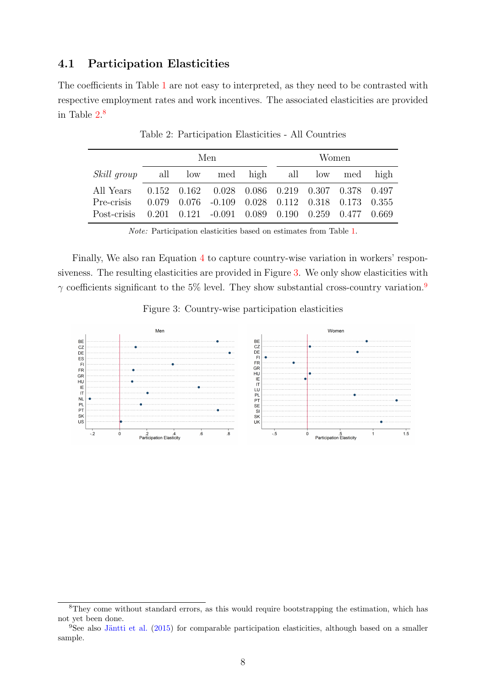#### 4.1 Participation Elasticities

<span id="page-8-0"></span>The coefficients in Table [1](#page-7-0) are not easy to interpreted, as they need to be contrasted with respective employment rates and work incentives. The associated elasticities are provided in Table [2.](#page-8-0) [8](#page-8-1)

|                                                                   |  | Men | Women |  |  |  |  |
|-------------------------------------------------------------------|--|-----|-------|--|--|--|--|
| <i>Skill group</i> all low med high all low med high              |  |     |       |  |  |  |  |
| All Years  0.152  0.162  0.028  0.086  0.219  0.307  0.378  0.497 |  |     |       |  |  |  |  |
| Pre-crisis 0.079 0.076 -0.109 0.028 0.112 0.318 0.173 0.355       |  |     |       |  |  |  |  |
| Post-crisis 0.201 0.121 -0.091 0.089 0.190 0.259 0.477 0.669      |  |     |       |  |  |  |  |

Table 2: Participation Elasticities - All Countries

Note: Participation elasticities based on estimates from Table [1.](#page-7-0)

Finally, We also ran Equation [4](#page-4-2) to capture country-wise variation in workers' responsiveness. The resulting elasticities are provided in Figure [3.](#page-8-2) We only show elasticities with  $\gamma$  coefficients significant to the 5% level. They show substantial cross-country variation.<sup>[9](#page-8-3)</sup>

Figure 3: Country-wise participation elasticities

<span id="page-8-2"></span>

<span id="page-8-1"></span><sup>&</sup>lt;sup>8</sup>They come without standard errors, as this would require bootstrapping the estimation, which has not yet been done.

<span id="page-8-3"></span> $9$ See also Jäntti et al. [\(2015\)](#page-12-3) for comparable participation elasticities, although based on a smaller sample.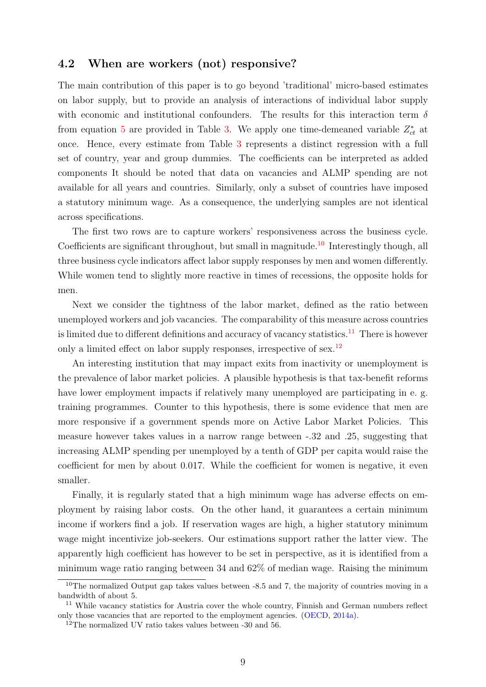#### 4.2 When are workers (not) responsive?

The main contribution of this paper is to go beyond 'traditional' micro-based estimates on labor supply, but to provide an analysis of interactions of individual labor supply with economic and institutional confounders. The results for this interaction term  $\delta$ from equation [5](#page-5-2) are provided in Table [3.](#page-10-1) We apply one time-demeaned variable  $Z_{ct}^*$  at once. Hence, every estimate from Table [3](#page-10-1) represents a distinct regression with a full set of country, year and group dummies. The coefficients can be interpreted as added components It should be noted that data on vacancies and ALMP spending are not available for all years and countries. Similarly, only a subset of countries have imposed a statutory minimum wage. As a consequence, the underlying samples are not identical across specifications.

The first two rows are to capture workers' responsiveness across the business cycle. Coefficients are significant throughout, but small in magnitude.<sup>[10](#page-9-0)</sup> Interestingly though, all three business cycle indicators affect labor supply responses by men and women differently. While women tend to slightly more reactive in times of recessions, the opposite holds for men.

Next we consider the tightness of the labor market, defined as the ratio between unemployed workers and job vacancies. The comparability of this measure across countries is limited due to different definitions and accuracy of vacancy statistics.<sup>[11](#page-9-1)</sup> There is however only a limited effect on labor supply responses, irrespective of sex.<sup>[12](#page-9-2)</sup>

An interesting institution that may impact exits from inactivity or unemployment is the prevalence of labor market policies. A plausible hypothesis is that tax-benefit reforms have lower employment impacts if relatively many unemployed are participating in e. g. training programmes. Counter to this hypothesis, there is some evidence that men are more responsive if a government spends more on Active Labor Market Policies. This measure however takes values in a narrow range between -.32 and .25, suggesting that increasing ALMP spending per unemployed by a tenth of GDP per capita would raise the coefficient for men by about 0.017. While the coefficient for women is negative, it even smaller.

Finally, it is regularly stated that a high minimum wage has adverse effects on employment by raising labor costs. On the other hand, it guarantees a certain minimum income if workers find a job. If reservation wages are high, a higher statutory minimum wage might incentivize job-seekers. Our estimations support rather the latter view. The apparently high coefficient has however to be set in perspective, as it is identified from a minimum wage ratio ranging between 34 and 62% of median wage. Raising the minimum

<span id="page-9-0"></span><sup>&</sup>lt;sup>10</sup>The normalized Output gap takes values between  $-8.5$  and 7, the majority of countries moving in a bandwidth of about 5.

<span id="page-9-1"></span><sup>&</sup>lt;sup>11</sup> While vacancy statistics for Austria cover the whole country, Finnish and German numbers reflect only those vacancies that are reported to the employment agencies. [\(OECD,](#page-13-6) [2014a\)](#page-13-6).

<span id="page-9-2"></span><sup>12</sup>The normalized UV ratio takes values between -30 and 56.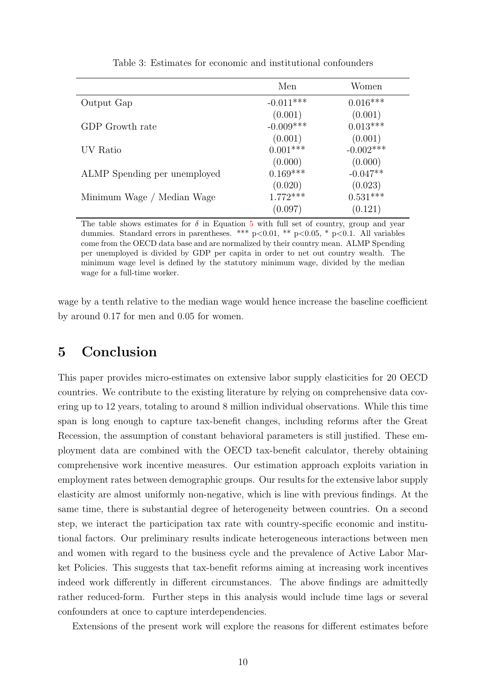<span id="page-10-1"></span>

|                              | Men         | Women        |
|------------------------------|-------------|--------------|
| Output Gap                   | $-0.011***$ | $0.016***$   |
|                              | (0.001)     | (0.001)      |
| GDP Growth rate              | $-0.009***$ | $0.013***$   |
|                              | (0.001)     | (0.001)      |
| UV Ratio                     | $0.001***$  | $-0.002$ *** |
|                              | (0.000)     | (0.000)      |
| ALMP Spending per unemployed | $0.169***$  | $-0.047**$   |
|                              | (0.020)     | (0.023)      |
| Minimum Wage / Median Wage   | $1.772***$  | $0.531***$   |
|                              | (0.097)     | (0.121)      |

Table 3: Estimates for economic and institutional confounders

The table shows estimates for  $\delta$  in Equation [5](#page-5-2) with full set of country, group and year dummies. Standard errors in parentheses. \*\*\*  $p<0.01$ , \*\*  $p<0.05$ , \*  $p<0.1$ . All variables come from the OECD data base and are normalized by their country mean. ALMP Spending per unemployed is divided by GDP per capita in order to net out country wealth. The minimum wage level is defined by the statutory minimum wage, divided by the median wage for a full-time worker.

wage by a tenth relative to the median wage would hence increase the baseline coefficient by around 0.17 for men and 0.05 for women.

# <span id="page-10-0"></span>5 Conclusion

This paper provides micro-estimates on extensive labor supply elasticities for 20 OECD countries. We contribute to the existing literature by relying on comprehensive data covering up to 12 years, totaling to around 8 million individual observations. While this time span is long enough to capture tax-benefit changes, including reforms after the Great Recession, the assumption of constant behavioral parameters is still justified. These employment data are combined with the OECD tax-benefit calculator, thereby obtaining comprehensive work incentive measures. Our estimation approach exploits variation in employment rates between demographic groups. Our results for the extensive labor supply elasticity are almost uniformly non-negative, which is line with previous findings. At the same time, there is substantial degree of heterogeneity between countries. On a second step, we interact the participation tax rate with country-specific economic and institutional factors. Our preliminary results indicate heterogeneous interactions between men and women with regard to the business cycle and the prevalence of Active Labor Market Policies. This suggests that tax-benefit reforms aiming at increasing work incentives indeed work differently in different circumstances. The above findings are admittedly rather reduced-form. Further steps in this analysis would include time lags or several confounders at once to capture interdependencies.

Extensions of the present work will explore the reasons for different estimates before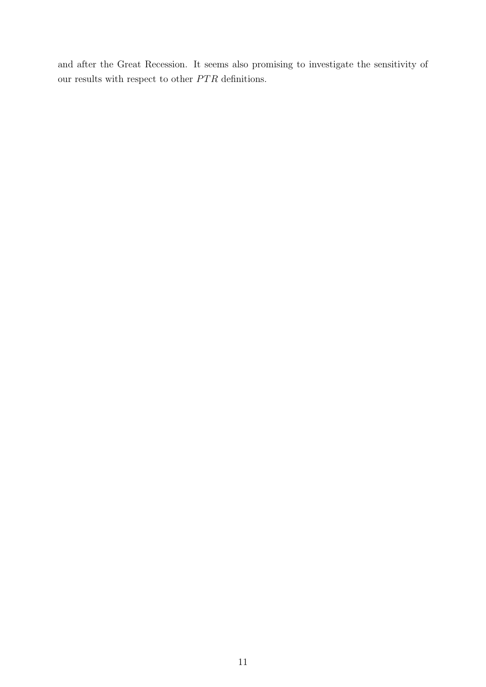and after the Great Recession. It seems also promising to investigate the sensitivity of our results with respect to other  $\cal{PTR}$  definitions.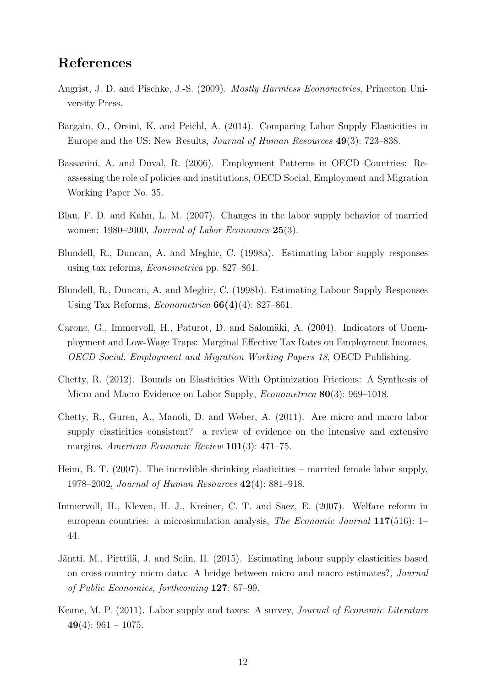## References

- <span id="page-12-11"></span>Angrist, J. D. and Pischke, J.-S. (2009). Mostly Harmless Econometrics, Princeton University Press.
- <span id="page-12-2"></span>Bargain, O., Orsini, K. and Peichl, A. (2014). Comparing Labor Supply Elasticities in Europe and the US: New Results, Journal of Human Resources 49(3): 723–838.
- <span id="page-12-12"></span>Bassanini, A. and Duval, R. (2006). Employment Patterns in OECD Countries: Reassessing the role of policies and institutions, OECD Social, Employment and Migration Working Paper No. 35.
- <span id="page-12-5"></span>Blau, F. D. and Kahn, L. M. (2007). Changes in the labor supply behavior of married women: 1980–2000, Journal of Labor Economics 25(3).
- <span id="page-12-9"></span>Blundell, R., Duncan, A. and Meghir, C. (1998a). Estimating labor supply responses using tax reforms, Econometrica pp. 827–861.
- <span id="page-12-6"></span>Blundell, R., Duncan, A. and Meghir, C. (1998b). Estimating Labour Supply Responses Using Tax Reforms, *Econometrica*  $66(4)(4)$ : 827–861.
- <span id="page-12-8"></span>Carone, G., Immervoll, H., Paturot, D. and Salomäki, A. (2004). Indicators of Unemployment and Low-Wage Traps: Marginal Effective Tax Rates on Employment Incomes, OECD Social, Employment and Migration Working Papers 18, OECD Publishing.
- <span id="page-12-7"></span>Chetty, R. (2012). Bounds on Elasticities With Optimization Frictions: A Synthesis of Micro and Macro Evidence on Labor Supply, *Econometrica* **80**(3): 969–1018.
- <span id="page-12-10"></span>Chetty, R., Guren, A., Manoli, D. and Weber, A. (2011). Are micro and macro labor supply elasticities consistent? a review of evidence on the intensive and extensive margins, American Economic Review 101(3): 471–75.
- <span id="page-12-4"></span>Heim, B. T. (2007). The incredible shrinking elasticities – married female labor supply, 1978–2002, Journal of Human Resources 42(4): 881–918.
- <span id="page-12-0"></span>Immervoll, H., Kleven, H. J., Kreiner, C. T. and Saez, E. (2007). Welfare reform in european countries: a microsimulation analysis, The Economic Journal 117(516): 1– 44.
- <span id="page-12-3"></span>Jäntti, M., Pirttilä, J. and Selin, H. (2015). Estimating labour supply elasticities based on cross-country micro data: A bridge between micro and macro estimates?, Journal of Public Economics, forthcoming 127: 87–99.
- <span id="page-12-1"></span>Keane, M. P. (2011). Labor supply and taxes: A survey, Journal of Economic Literature 49(4):  $961 - 1075$ .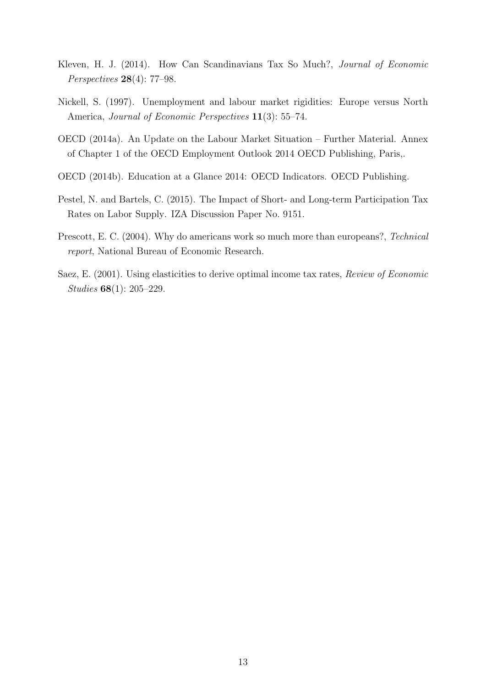- <span id="page-13-4"></span>Kleven, H. J. (2014). How Can Scandinavians Tax So Much?, Journal of Economic Perspectives 28(4): 77–98.
- <span id="page-13-5"></span>Nickell, S. (1997). Unemployment and labour market rigidities: Europe versus North America, *Journal of Economic Perspectives* **11**(3): 55–74.
- <span id="page-13-6"></span>OECD (2014a). An Update on the Labour Market Situation – Further Material. Annex of Chapter 1 of the OECD Employment Outlook 2014 OECD Publishing, Paris,.
- <span id="page-13-3"></span>OECD (2014b). Education at a Glance 2014: OECD Indicators. OECD Publishing.
- <span id="page-13-2"></span>Pestel, N. and Bartels, C. (2015). The Impact of Short- and Long-term Participation Tax Rates on Labor Supply. IZA Discussion Paper No. 9151.
- <span id="page-13-0"></span>Prescott, E. C. (2004). Why do americans work so much more than europeans?, Technical report, National Bureau of Economic Research.
- <span id="page-13-1"></span>Saez, E. (2001). Using elasticities to derive optimal income tax rates, Review of Economic Studies 68(1): 205–229.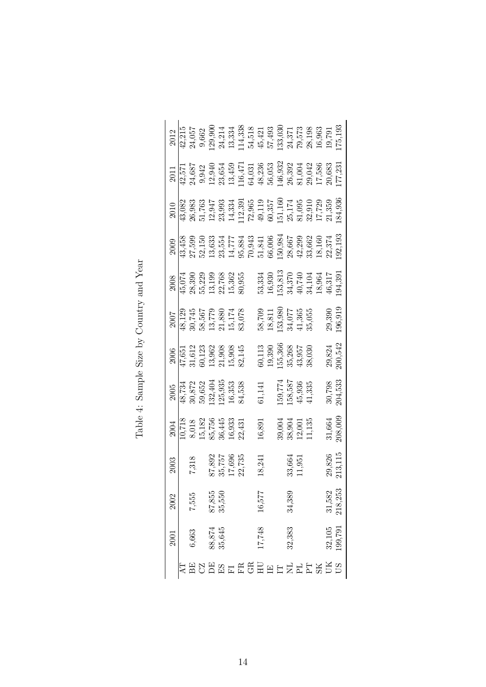<span id="page-14-0"></span>

|      | $\begin{array}{c} 2012 \\ 42,215 \\ 43,334 \\ 9,662 \\ 24,334 \\ 114,338 \\ 13,334 \\ 14,338 \\ 15,421 \\ 14,338 \\ 15,421 \\ 16,363 \\ 17,493 \\ 18,573 \\ 19,78 \\ 19,79 \\ 19,79 \\ 119,79 \\ 119,71 \\ 130 \\ 119,71 \\ 130 \\ 119,71 \\ 119,193 \\ 119,193 \\ 119,193 \\ 119,193 \\ 119$         |       |                                     |                      |  |  |        |                                                                                             |        |                                      |                                                                                                                                     |        |                       |
|------|-------------------------------------------------------------------------------------------------------------------------------------------------------------------------------------------------------------------------------------------------------------------------------------------------------|-------|-------------------------------------|----------------------|--|--|--------|---------------------------------------------------------------------------------------------|--------|--------------------------------------|-------------------------------------------------------------------------------------------------------------------------------------|--------|-----------------------|
|      | $\frac{2011}{42,571}$ $\frac{43,687}{43,439}$ $\frac{40,634}{11,647}$ $\frac{45,634}{11,647}$ $\frac{47}{11,647}$ $\frac{47}{11,647}$ $\frac{47}{11,647}$ $\frac{47}{11,647}$ $\frac{47}{11,647}$ $\frac{47}{11,647}$ $\frac{48,838}{11,6332}$ $\frac{48,832}{11,6332}$ $\frac{4$                     |       |                                     |                      |  |  |        |                                                                                             |        |                                      |                                                                                                                                     |        |                       |
|      | $\begin{array}{l} 2010 \\ 203 \\ 43,083 \\ 26,983 \\ 27,763 \\ 28,993 \\ 293 \\ 21,17 \\ 23,39 \\ 25,17 \\ 26,17 \\ 27,17 \\ 28,17 \\ 29,17 \\ 20,17 \\ 21,18 \\ 23,17 \\ 24,17 \\ 25,17 \\ 27,17 \\ 28,17 \\ 29 \\ 21,18 \\ 23,18 \\ 24,19 \\ 25,18 \\ 26,19 \\ 27,19 \\ 28,19 \\ 29 \\ 21,18 \\ 23$ |       |                                     |                      |  |  |        |                                                                                             |        |                                      |                                                                                                                                     |        |                       |
|      | $\frac{2009}{43,458}$ $\frac{15}{45,59}$ $\frac{5}{45,59}$ $\frac{35}{45,57}$ $\frac{17}{45,58}$ $\frac{17}{45,59}$ $\frac{17}{45,59}$ $\frac{17}{45,59}$ $\frac{17}{45,59}$ $\frac{17}{45,59}$ $\frac{17}{45,59}$ $\frac{17}{45,59}$ $\frac{17}{45,59}$ $\frac{17}{45,59}$ $\frac{17}{45$            |       |                                     |                      |  |  |        |                                                                                             |        |                                      |                                                                                                                                     |        |                       |
|      | $\frac{2008}{45,074}$<br>$\frac{45,074}{32,390}$<br>$\frac{23,390}{13,199}$<br>$\frac{13,199}{15,362}$<br>$\frac{22,768}{15,362}$                                                                                                                                                                     |       |                                     |                      |  |  |        |                                                                                             |        |                                      | $\begin{array}{c} 53,334 \\ 16,930 \\ 153,813 \\ 34,370 \\ 40,740 \\ 18,964 \\ 18,964 \\ 16,317 \\ 46,317 \\ 46,317 \\ \end{array}$ |        |                       |
|      | $\begin{array}{c} 2007 \\ 48,129 \\ 30,745 \\ 58,567 \\ 13,779 \\ 21,880 \\ 15,174 \\ 15,174 \\ 83,078 \end{array}$                                                                                                                                                                                   |       |                                     |                      |  |  |        |                                                                                             |        |                                      | $\begin{array}{l} 58,709 \\ 18,811 \\ 153,980 \\ 34,077 \\ 41,365 \\ 35,055 \\ 29,390 \\ 196,910 \end{array}$                       |        |                       |
|      | $\begin{array}{l} 2006 \\ 47,651 \\ 31,612 \\ 60,123 \\ 13,962 \\ 13,968 \\ 15,908 \\ 15,908 \\ 15,908 \\ \end{array}$                                                                                                                                                                                |       |                                     |                      |  |  |        | $\begin{array}{c} 60,113 \\ 19,390 \\ 155,366 \\ 35,268 \\ 43,957 \\ 43,980 \\ \end{array}$ |        |                                      |                                                                                                                                     |        | 29,824<br>200,542     |
|      | $\begin{array}{c c} 2005 \\ \hline 48,734 \\ 30,872 \\ 59,652 \\ 132,404 \\ 125,935 \\ 16,333 \\ \end{array}$                                                                                                                                                                                         |       |                                     |                      |  |  | 31,141 | $[59,774158,58745,93641,335$                                                                |        |                                      |                                                                                                                                     |        | $30,798$<br>$204,533$ |
|      | $\frac{2004}{10,718}$<br>8,018<br>8,182<br>15,182<br>36,445<br>30,431<br>16,933                                                                                                                                                                                                                       |       |                                     |                      |  |  | 16,891 |                                                                                             |        | 39,004<br>38,904<br>12,001<br>11,135 |                                                                                                                                     |        | 31,664<br>208,009     |
| 2003 |                                                                                                                                                                                                                                                                                                       |       | 7,318<br>37,892<br>17,696<br>17,696 |                      |  |  | 18,241 |                                                                                             |        | 33,664<br>11,951                     |                                                                                                                                     |        | 29,826<br>213,115     |
| 2002 |                                                                                                                                                                                                                                                                                                       | 7,555 |                                     | $87,855$<br>$35,550$ |  |  | 16,577 |                                                                                             | 34,389 |                                      |                                                                                                                                     | 31,582 | 218,253               |
| 2001 |                                                                                                                                                                                                                                                                                                       | 6,663 |                                     | 88,874<br>35,645     |  |  | 17,748 |                                                                                             | 32,383 |                                      |                                                                                                                                     |        | $32,105$<br>199,791   |
|      |                                                                                                                                                                                                                                                                                                       |       |                                     |                      |  |  |        |                                                                                             |        |                                      |                                                                                                                                     |        | 机配多配路压取的配压压压压压取取的     |

Table 4: Sample Size by Country and Year Table 4: Sample Size by Country and Year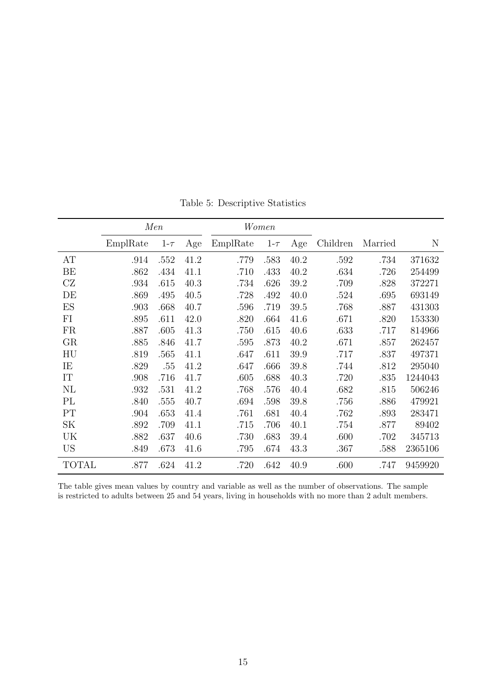|              | Men      |          | Women |          |          |      |          |         |         |
|--------------|----------|----------|-------|----------|----------|------|----------|---------|---------|
|              | EmplRate | $1-\tau$ | Age   | EmplRate | $1-\tau$ | Age  | Children | Married | N       |
| AT           | .914     | .552     | 41.2  | .779     | .583     | 40.2 | .592     | .734    | 371632  |
| BE           | .862     | .434     | 41.1  | .710     | .433     | 40.2 | .634     | .726    | 254499  |
| CZ           | .934     | .615     | 40.3  | .734     | .626     | 39.2 | .709     | .828    | 372271  |
| DE           | .869     | .495     | 40.5  | .728     | .492     | 40.0 | .524     | .695    | 693149  |
| ES           | .903     | .668     | 40.7  | .596     | .719     | 39.5 | .768     | .887    | 431303  |
| FI           | .895     | .611     | 42.0  | .820     | .664     | 41.6 | .671     | .820    | 153330  |
| FR           | .887     | .605     | 41.3  | .750     | .615     | 40.6 | .633     | .717    | 814966  |
| GR           | .885     | .846     | 41.7  | .595     | .873     | 40.2 | .671     | .857    | 262457  |
| HU           | .819     | .565     | 41.1  | .647     | .611     | 39.9 | .717     | .837    | 497371  |
| IE           | .829     | .55      | 41.2  | .647     | .666     | 39.8 | .744     | .812    | 295040  |
| IT           | .908     | .716     | 41.7  | .605     | .688     | 40.3 | .720     | .835    | 1244043 |
| NL           | .932     | .531     | 41.2  | .768     | .576     | 40.4 | .682     | .815    | 506246  |
| PL           | .840     | .555     | 40.7  | .694     | .598     | 39.8 | .756     | .886    | 479921  |
| PT           | .904     | .653     | 41.4  | .761     | .681     | 40.4 | .762     | .893    | 283471  |
| SK           | .892     | .709     | 41.1  | .715     | .706     | 40.1 | .754     | .877    | 89402   |
| UK           | .882     | .637     | 40.6  | .730     | .683     | 39.4 | .600     | .702    | 345713  |
| <b>US</b>    | .849     | .673     | 41.6  | .795     | .674     | 43.3 | .367     | .588    | 2365106 |
| <b>TOTAL</b> | .877     | .624     | 41.2  | .720     | .642     | 40.9 | .600     | .747    | 9459920 |

Table 5: Descriptive Statistics

The table gives mean values by country and variable as well as the number of observations. The sample is restricted to adults between 25 and 54 years, living in households with no more than 2 adult members.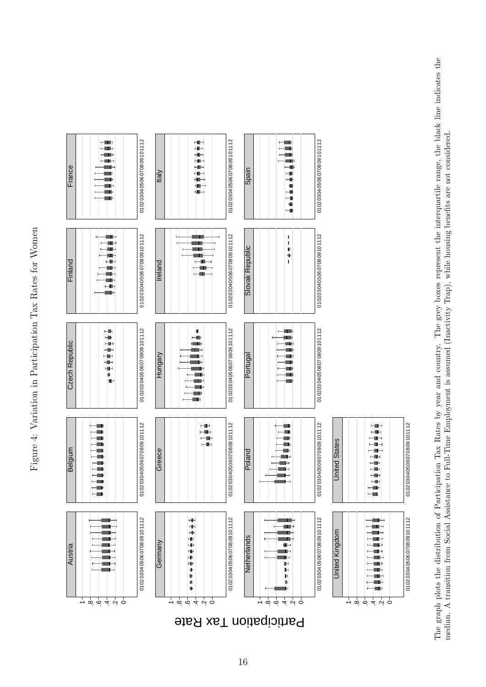Figure 4: Variation in Participation Tax Rates for Women Figure 4: Variation in Participation Tax Rates for Women

<span id="page-16-0"></span>

median. A transition from Social Assistance to Full-Time Employment is assumed (Inactivity Trap), while housing benefits are not considered.